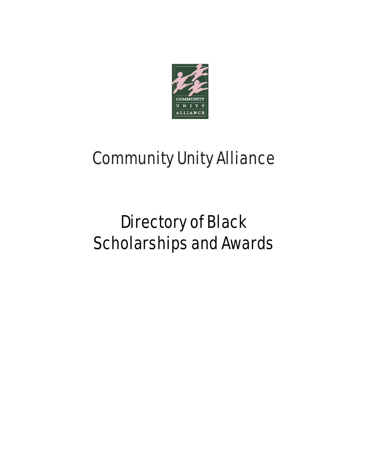

# Community Unity Alliance

# Directory of Black Scholarships and Awards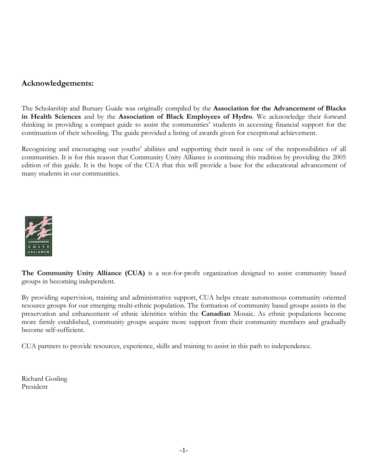#### **Acknowledgements:**

The Scholarship and Bursary Guide was originally compiled by the **Association for the Advancement of Blacks in Health Sciences** and by the **Association of Black Employees of Hydro**. We acknowledge their forward thinking in providing a compact guide to assist the communities' students in accessing financial support for the continuation of their schooling. The guide provided a listing of awards given for exceptional achievement.

Recognizing and encouraging our youths' abilities and supporting their need is one of the responsibilities of all communities. It is for this reason that Community Unity Alliance is continuing this tradition by providing the 2005 edition of this guide. It is the hope of the CUA that this will provide a base for the educational advancement of many students in our communities.



**The Community Unity Alliance (CUA)** is a not-for-profit organization designed to assist community based groups in becoming independent.

By providing supervision, training and administrative support, CUA helps create autonomous community oriented resource groups for our emerging multi-ethnic population. The formation of community based groups assists in the preservation and enhancement of ethnic identities within the **Canadian** Mosaic. As ethnic populations become more firmly established, community groups acquire more support from their community members and gradually become self-sufficient.

CUA partners to provide resources, experience, skills and training to assist in this path to independence.

Richard Gosling President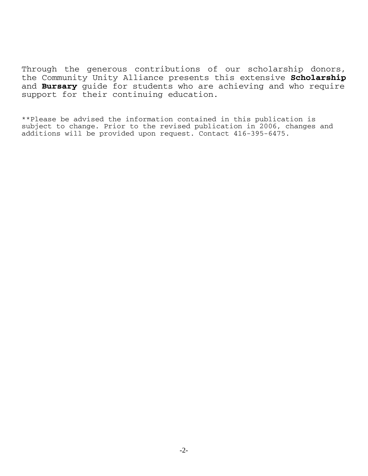Through the generous contributions of our scholarship donors, the Community Unity Alliance presents this extensive **Scholarship** and **Bursary** guide for students who are achieving and who require support for their continuing education.

\*\*Please be advised the information contained in this publication is subject to change. Prior to the revised publication in 2006, changes and additions will be provided upon request. Contact 416-395-6475.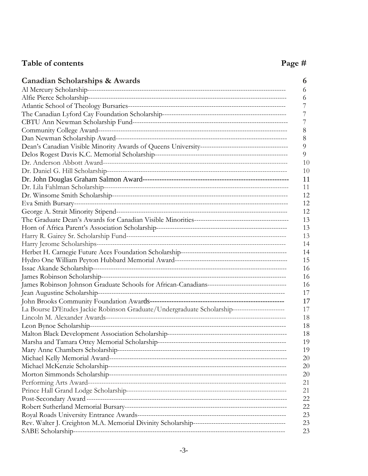## Table of contents **Page #**  $\qquad \qquad$  **Page #**

| Canadian Scholarships & Awards<br>6                                                                |  |
|----------------------------------------------------------------------------------------------------|--|
| 6                                                                                                  |  |
| 6                                                                                                  |  |
|                                                                                                    |  |
| 7                                                                                                  |  |
|                                                                                                    |  |
| 8                                                                                                  |  |
| 8                                                                                                  |  |
| 9                                                                                                  |  |
| 9                                                                                                  |  |
| 10                                                                                                 |  |
| 10                                                                                                 |  |
| 11                                                                                                 |  |
| 11                                                                                                 |  |
| 12                                                                                                 |  |
| 12                                                                                                 |  |
| 12                                                                                                 |  |
| 13                                                                                                 |  |
| 13                                                                                                 |  |
| 13                                                                                                 |  |
| 14                                                                                                 |  |
| 14                                                                                                 |  |
| 15                                                                                                 |  |
| 16                                                                                                 |  |
| 16                                                                                                 |  |
| 16                                                                                                 |  |
| 17                                                                                                 |  |
| 17                                                                                                 |  |
| La Bourse D'Etudes Jackie Robinson Graduate/Undergraduate Scholarship-----------------------<br>17 |  |
| 18                                                                                                 |  |
| 18                                                                                                 |  |
| 18                                                                                                 |  |
| 19                                                                                                 |  |
| 19                                                                                                 |  |
| 20                                                                                                 |  |
| 20                                                                                                 |  |
| 20                                                                                                 |  |
| 21                                                                                                 |  |
| 21                                                                                                 |  |
| 22                                                                                                 |  |
| 22                                                                                                 |  |
| 23                                                                                                 |  |
| 23                                                                                                 |  |
| 23                                                                                                 |  |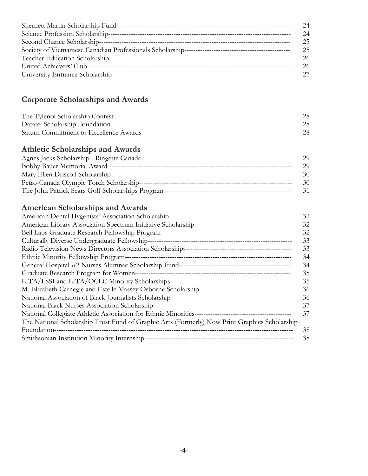|                                   | 24 |
|-----------------------------------|----|
| Science Profession Scholarship--- | 24 |
| Second Chance Scholarship---      | 25 |
|                                   | 25 |
|                                   | 26 |
|                                   | 26 |
| University Entrance Scholarship-- |    |

## **Corporate Scholarships and Awards**

| 28. |
|-----|
| 28. |
| 28. |

#### **Athletic Scholarships and Awards**

| Agnes Jacks Scholarship - Ringette Canada---        | 29. |
|-----------------------------------------------------|-----|
|                                                     | 29. |
| Mary Ellen Driscoll Scholarship--------------       | 30  |
|                                                     | 30  |
| The John Patrick Sears Golf Scholarships Program--- |     |

## **American Scholarships and Awards**

|                                                                                               | 32 |
|-----------------------------------------------------------------------------------------------|----|
|                                                                                               | 32 |
|                                                                                               | 32 |
| Culturally Diverse Undergraduate Fellowship-                                                  | 33 |
|                                                                                               | 33 |
|                                                                                               | 34 |
|                                                                                               | 34 |
|                                                                                               | 35 |
|                                                                                               | 35 |
|                                                                                               | 36 |
|                                                                                               | 36 |
| National Black Nurses Association Scholarship-                                                | 37 |
|                                                                                               | 37 |
| The National Scholarship Trust Fund of Graphic Arts (Formerly) Now Print Graphics Scholarship |    |
| Foundation-                                                                                   | 38 |
| Smithsonian Institution Minority Internship-                                                  | 38 |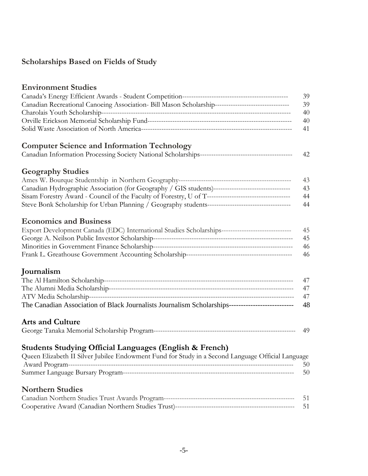## **Scholarships Based on Fields of Study**

|                                                                                                     | 39 |
|-----------------------------------------------------------------------------------------------------|----|
| Canadian Recreational Canoeing Association- Bill Mason Scholarship--------------------------------  | 39 |
|                                                                                                     | 40 |
|                                                                                                     | 40 |
|                                                                                                     | 41 |
|                                                                                                     |    |
| <b>Computer Science and Information Technology</b>                                                  |    |
|                                                                                                     | 42 |
|                                                                                                     |    |
| <b>Geography Studies</b>                                                                            |    |
|                                                                                                     | 43 |
| Canadian Hydrographic Association (for Geography / GIS students)----------------------------------- | 43 |
|                                                                                                     | 44 |
|                                                                                                     | 44 |
|                                                                                                     |    |
| <b>Economics and Business</b>                                                                       |    |
|                                                                                                     |    |
| Export Development Canada (EDC) International Studies Scholarships-------------------------------   | 45 |
|                                                                                                     | 45 |
|                                                                                                     | 46 |
|                                                                                                     | 46 |
|                                                                                                     |    |
| Journalism                                                                                          |    |
|                                                                                                     | 47 |
|                                                                                                     | 47 |
|                                                                                                     | 47 |
| The Canadian Association of Black Journalists Journalism Scholarships-----------------------------  | 48 |
| <b>Arts and Culture</b>                                                                             |    |
|                                                                                                     | 49 |
|                                                                                                     |    |
| <b>Students Studying Official Languages (English &amp; French)</b>                                  |    |
| Queen Elizabeth II Silver Jubilee Endowment Fund for Study in a Second Language Official Language   |    |
|                                                                                                     | 50 |
|                                                                                                     | 50 |
|                                                                                                     |    |
| <b>Northern Studies</b>                                                                             |    |
|                                                                                                     | 51 |
|                                                                                                     | 51 |
|                                                                                                     |    |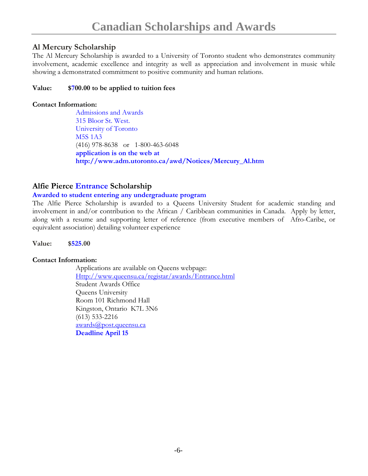#### **Al Mercury Scholarship**

The Al Mercury Scholarship is awarded to a University of Toronto student who demonstrates community involvement, academic excellence and integrity as well as appreciation and involvement in music while showing a demonstrated commitment to positive community and human relations.

#### **Value: \$700.00 to be applied to tuition fees**

#### **Contact Information:**

Admissions and Awards 315 Bloor St. West. University of Toronto M5S 1A3 (416) 978-8638 or 1-800-463-6048 **application is on the web at http://www.adm.utoronto.ca/awd/Notices/Mercury\_Al.htm** 

#### **Alfie Pierce Entrance Scholarship**

#### **Awarded to student entering any undergraduate program**

The Alfie Pierce Scholarship is awarded to a Queens University Student for academic standing and involvement in and/or contribution to the African / Caribbean communities in Canada. Apply by letter, along with a resume and supporting letter of reference (from executive members of Afro-Caribe, or equivalent association) detailing volunteer experience

**Value: \$525.00** 

#### **Contact Information:**

Applications are available on Queens webpage: Http://www.queensu.ca/registar/awards/Entrance.html Student Awards Office Queens University Room 101 Richmond Hall Kingston, Ontario K7L 3N6 (613) 533-2216 awards@post.queensu.ca **Deadline April 15**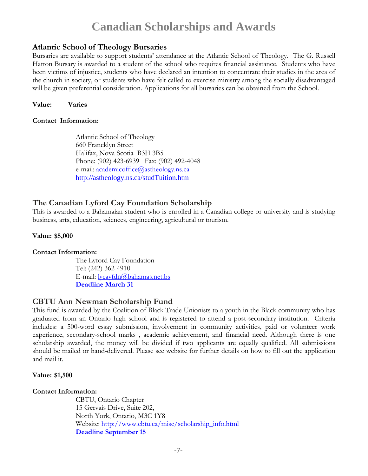#### **Atlantic School of Theology Bursaries**

Bursaries are available to support students' attendance at the Atlantic School of Theology. The G. Russell Hatton Bursary is awarded to a student of the school who requires financial assistance. Students who have been victims of injustice, students who have declared an intention to concentrate their studies in the area of the church in society, or students who have felt called to exercise ministry among the socially disadvantaged will be given preferential consideration. Applications for all bursaries can be obtained from the School.

**Value: Varies** 

#### **Contact Information:**

Atlantic School of Theology 660 Francklyn Street Halifax, Nova Scotia B3H 3B5 Phone: (902) 423-6939 Fax: (902) 492-4048 e-mail: <u>academicoffice@astheology.ns.ca</u> http://astheology.ns.ca/studTuition.htm

#### **The Canadian Lyford Cay Foundation Scholarship**

This is awarded to a Bahamaian student who is enrolled in a Canadian college or university and is studying business, arts, education, sciences, engineering, agricultural or tourism.

#### **Value: \$5,000**

#### **Contact Information:**

The Lyford Cay Foundation Tel: (242) 362-4910 E-mail: lycayfdn@bahamas.net.bs **Deadline March 31**

#### **CBTU Ann Newman Scholarship Fund**

This fund is awarded by the Coalition of Black Trade Unionists to a youth in the Black community who has graduated from an Ontario high school and is registered to attend a post-secondary institution. Criteria includes: a 500-word essay submission, involvement in community activities, paid or volunteer work experience, secondary-school marks , academic achievement, and financial need. Although there is one scholarship awarded, the money will be divided if two applicants are equally qualified. All submissions should be mailed or hand-delivered. Please see website for further details on how to fill out the application and mail it.

#### **Value: \$1,500**

#### **Contact Information:**

CBTU, Ontario Chapter 15 Gervais Drive, Suite 202, North York, Ontario, M3C 1Y8 Website: http://www.cbtu.ca/misc/scholarship\_info.html **Deadline September 15**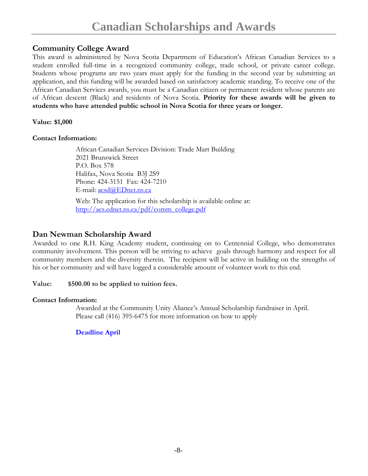### **Community College Award**

This award is administered by Nova Scotia Department of Education's African Canadian Services to a student enrolled full-time in a recognized community college, trade school, or private career college. Students whose programs are two years must apply for the funding in the second year by submitting an application, and this funding will be awarded based on satisfactory academic standing. To receive one of the African Canadian Services awards, you must be a Canadian citizen or permanent resident whose parents are of African descent (Black) and residents of Nova Scotia. **Priority for these awards will be given to students who have attended public school in Nova Scotia for three years or longer.** 

#### **Value: \$1,000**

#### **Contact Information:**

African Canadian Services Division: Trade Mart Building 2021 Brunswick Street P.O. Box 578 Halifax, Nova Scotia B3J 2S9 Phone: 424-3151 Fax: 424-7210 E-mail: acsd@EDnet.ns.ca

Web: The application for this scholarship is available online at: http://acs.ednet.ns.ca/pdf/comm\_college.pdf

#### **Dan Newman Scholarship Award**

Awarded to one R.H. King Academy student, continuing on to Centennial College, who demonstrates community involvement. This person will be striving to achieve goals through harmony and respect for all community members and the diversity therein. The recipient will be active in building on the strengths of his or her community and will have logged a considerable amount of volunteer work to this end.

#### **Value: \$500.00 to be applied to tuition fees.**

#### **Contact Information:**

Awarded at the Community Unity Aliance's Annual Scholarship fundraiser in April. Please call (416) 395-6475 for more information on how to apply

#### **Deadline April**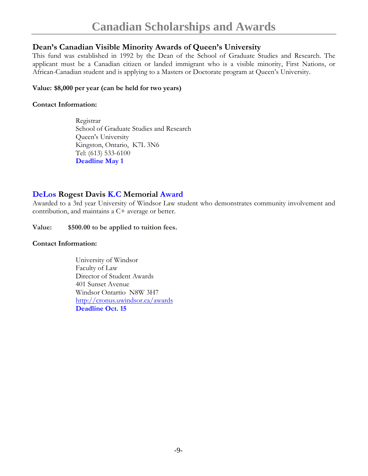#### **Dean's Canadian Visible Minority Awards of Queen's University**

This fund was established in 1992 by the Dean of the School of Graduate Studies and Research. The applicant must be a Canadian citizen or landed immigrant who is a visible minority, First Nations, or African-Canadian student and is applying to a Masters or Doctorate program at Queen's University.

#### **Value: \$8,000 per year (can be held for two years)**

#### **Contact Information:**

Registrar School of Graduate Studies and Research Queen's University Kingston, Ontario, K7L 3N6 Tel: (613) 533-6100 **Deadline May 1** 

#### **DeLos Rogest Davis K.C Memorial Award**

Awarded to a 3rd year University of Windsor Law student who demonstrates community involvement and contribution, and maintains a C+ average or better.

**Value: \$500.00 to be applied to tuition fees.** 

#### **Contact Information:**

University of Windsor Faculty of Law Director of Student Awards 401 Sunset Avenue Windsor Ontartio N8W 3H7 http://cronus.uwindsor.ca/awards **Deadline Oct. 15**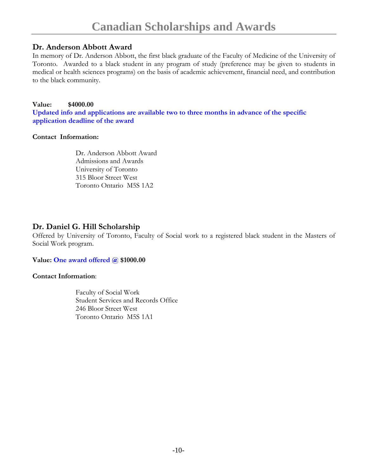#### **Dr. Anderson Abbott Award**

In memory of Dr. Anderson Abbott, the first black graduate of the Faculty of Medicine of the University of Toronto. Awarded to a black student in any program of study (preference may be given to students in medical or health sciences programs) on the basis of academic achievement, financial need, and contribution to the black community.

#### **Value: \$4000.00**

**Updated info and applications are available two to three months in advance of the specific application deadline of the award** 

#### **Contact Information:**

Dr. Anderson Abbott Award Admissions and Awards University of Toronto 315 Bloor Street West Toronto Ontario M5S 1A2

#### **Dr. Daniel G. Hill Scholarship**

Offered by University of Toronto, Faculty of Social work to a registered black student in the Masters of Social Work program.

#### **Value: One award offered @ \$1000.00**

#### **Contact Information**:

Faculty of Social Work Student Services and Records Office 246 Bloor Street West Toronto Ontario M5S 1A1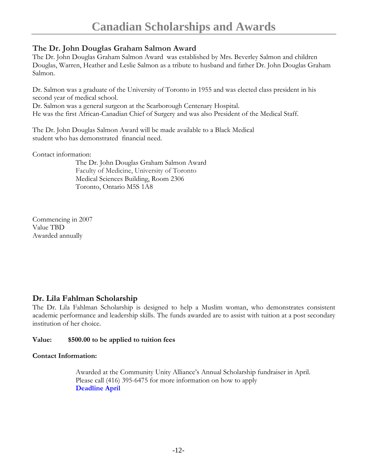#### **The Dr. John Douglas Graham Salmon Award**

The Dr. John Douglas Graham Salmon Award was established by Mrs. Beverley Salmon and children Douglas, Warren, Heather and Leslie Salmon as a tribute to husband and father Dr. John Douglas Graham Salmon.

Dr. Salmon was a graduate of the University of Toronto in 1955 and was elected class president in his second year of medical school.

Dr. Salmon was a general surgeon at the Scarborough Centenary Hospital. He was the first African-Canadian Chief of Surgery and was also President of the Medical Staff.

The Dr. John Douglas Salmon Award will be made available to a Black Medical student who has demonstrated financial need.

Contact information:

The Dr. John Douglas Graham Salmon Award Faculty of Medicine, University of Toronto Medical Sciences Building, Room 2306 Toronto, Ontario M5S 1A8

Commencing in 2007 Value TBD Awarded annually

#### **Dr. Lila Fahlman Scholarship**

The Dr. Lila Fahlman Scholarship is designed to help a Muslim woman, who demonstrates consistent academic performance and leadership skills. The funds awarded are to assist with tuition at a post secondary institution of her choice.

#### **Value: \$500.00 to be applied to tuition fees**

#### **Contact Information:**

Awarded at the Community Unity Alliance's Annual Scholarship fundraiser in April. Please call (416) 395-6475 for more information on how to apply **Deadline April**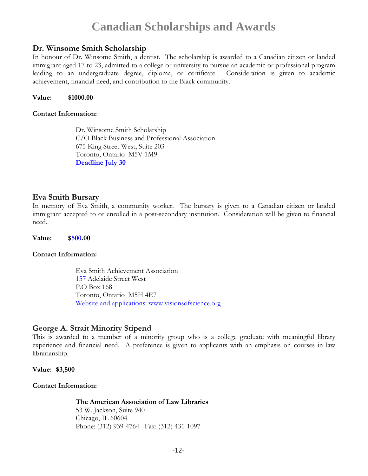#### **Dr. Winsome Smith Scholarship**

In honour of Dr. Winsome Smith, a dentist. The scholarship is awarded to a Canadian citizen or landed immigrant aged 17 to 23, admitted to a college or university to pursue an academic or professional program leading to an undergraduate degree, diploma, or certificate. Consideration is given to academic achievement, financial need, and contribution to the Black community.

#### **Value: \$1000.00**

#### **Contact Information:**

Dr. Winsome Smith Scholarship C/O Black Business and Professional Association 675 King Street West, Suite 203 Toronto, Ontario M5V 1M9 **Deadline July 30** 

#### **Eva Smith Bursary**

In memory of Eva Smith, a community worker. The bursary is given to a Canadian citizen or landed immigrant accepted to or enrolled in a post-secondary institution. Consideration will be given to financial need.

**Value: \$500.00** 

#### **Contact Information:**

Eva Smith Achievement Association 157 Adelaide Street West P.O Box 168 Toronto, Ontario M5H 4E7 Website and applications: www.visionsofscience.org

#### **George A. Strait Minority Stipend**

This is awarded to a member of a minority group who is a college graduate with meaningful library experience and financial need. A preference is given to applicants with an emphasis on courses in law librarianship.

**Value: \$3,500** 

#### **Contact Information:**

**The American Association of Law Libraries**

53 W. Jackson, Suite 940 Chicago, IL 60604 Phone: (312) 939-4764 Fax: (312) 431-1097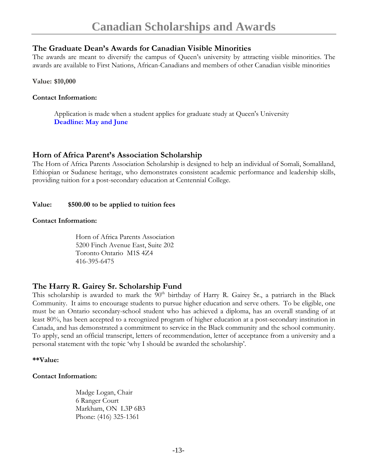#### **The Graduate Dean's Awards for Canadian Visible Minorities**

The awards are meant to diversify the campus of Queen's university by attracting visible minorities. The awards are available to First Nations, African-Canadians and members of other Canadian visible minorities

**Value: \$10,000** 

#### **Contact Information:**

Application is made when a student applies for graduate study at Queen's University **Deadline: May and June** 

#### **Horn of Africa Parent's Association Scholarship**

The Horn of Africa Parents Association Scholarship is designed to help an individual of Somali, Somaliland, Ethiopian or Sudanese heritage, who demonstrates consistent academic performance and leadership skills, providing tuition for a post-secondary education at Centennial College.

#### **Value: \$500.00 to be applied to tuition fees**

#### **Contact Information:**

Horn of Africa Parents Association 5200 Finch Avenue East, Suite 202 Toronto Ontario M1S 4Z4 416-395-6475

#### **The Harry R. Gairey Sr. Scholarship Fund**

This scholarship is awarded to mark the 90<sup>th</sup> birthday of Harry R. Gairey Sr., a patriarch in the Black Community. It aims to encourage students to pursue higher education and serve others. To be eligible, one must be an Ontario secondary-school student who has achieved a diploma, has an overall standing of at least 80%, has been accepted to a recognized program of higher education at a post-secondary institution in Canada, and has demonstrated a commitment to service in the Black community and the school community. To apply, send an official transcript, letters of recommendation, letter of acceptance from a university and a personal statement with the topic 'why I should be awarded the scholarship'.

#### **\*\*Value:**

#### **Contact Information:**

Madge Logan, Chair 6 Ranger Court Markham, ON L3P 6B3 Phone: (416) 325-1361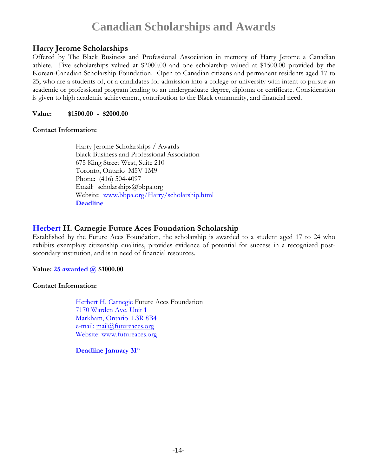#### **Harry Jerome Scholarships**

Offered by The Black Business and Professional Association in memory of Harry Jerome a Canadian athlete. Five scholarships valued at \$2000.00 and one scholarship valued at \$1500.00 provided by the Korean-Canadian Scholarship Foundation. Open to Canadian citizens and permanent residents aged 17 to 25, who are a students of, or a candidates for admission into a college or university with intent to pursue an academic or professional program leading to an undergraduate degree, diploma or certificate. Consideration is given to high academic achievement, contribution to the Black community, and financial need.

**Value: \$1500.00 - \$2000.00**

#### **Contact Information:**

Harry Jerome Scholarships / Awards Black Business and Professional Association 675 King Street West, Suite 210 Toronto, Ontario M5V 1M9 Phone: (416) 504-4097 Email: scholarships@bbpa.org Website: www.bbpa.org/Harry/scholarship.html **Deadline** 

#### **Herbert H. Carnegie Future Aces Foundation Scholarship**

Established by the Future Aces Foundation, the scholarship is awarded to a student aged 17 to 24 who exhibits exemplary citizenship qualities, provides evidence of potential for success in a recognized postsecondary institution, and is in need of financial resources.

#### **Value: 25 awarded @ \$1000.00**

#### **Contact Information:**

Herbert H. Carnegie Future Aces Foundation 7170 Warden Ave. Unit 1 Markham, Ontario L3R 8B4 e-mail: mail@futureaces.org Website: www.futureaces.org

**Deadline January 31st**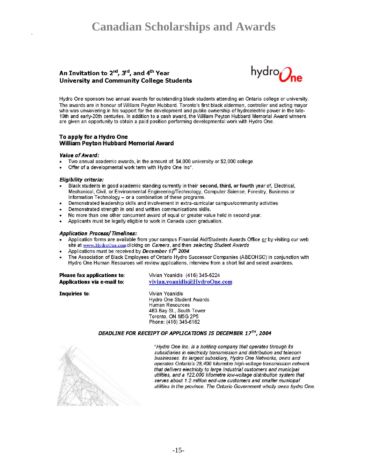## **Canadian Scholarships and Awards**

#### An Invitation to 2<sup>nd</sup>, 3<sup>rd</sup>, and 4<sup>th</sup> Year **University and Community College Students**



Hydro One sponsors two annual awards for outstanding black students attending an Ontario college or university. The awards are in honour of William Peyton Hubbard. Toronto's first black alderman, controller and acting mayor who was unwavering in his support for the development and public ownership of hydroelectric power in the late-19th and early-20th centuries. In addition to a cash award, the William Peyton Hubbard Memorial Award winners are given an opportunity to obtain a paid position performing developmental work with Hydro One.

#### To apply for a Hydro One **William Peyton Hubbard Memorial Award**

#### Value of Award:

- Two annual academic awards, in the amount of: \$4,000 university or \$2,000 college
- Offer of a developmental work term with Hydro One Inc\*.

#### Eligibility criteria:

- Black students in good academic standing currently in their second, third, or fourth year of, Electrical, Mechanical, Civil, or Environmental Engineering/Technology, Computer Science, Forestry, Business or Information Technology - or a combination of these programs.
- Demonstrated leadership skills and involvement in extra-curricular campus/community activities
- Demonstrated strength in oral and written communications skills.
- No more than one other concurrent award of equal or greater value held in second year.
- Applicants must be legally eligible to work in Canada upon graduation.

#### **Application Process/Timelines:**

- Application forms are available from your campus Financial Aid/Students Awards Office or by visiting our web site at www.HydroOne.com clicking on Careers, and then selecting Student Awards
- Applications must be received by December 17th 2004
- The Association of Black Employees of Ontario Hydro Successor Companies (ABEOHSC) in conjunction with Hydro One Human Resources will review applications, interview from a short list and select awardees.

| Please fax applications to: | Vivian Yoanidis (416) 345-6224 |
|-----------------------------|--------------------------------|
| Applications via e-mail to: | vivian.yoanidis@HydroOne.com   |

Inquiries to:

Vivian Yoanidis Hydro One Student Awards Human Resources 483 Bay St., South Tower Toronto, ON M5G 2P5 Phone: (416) 345-6162

#### DEADLINE FOR RECEIPT OF APPLICATIONS IS DECEMBER 17TH, 2004



\*Hydro One Inc. is a holding company that operates through its subsidiaries in electricity transmission and distribution and telecom businesses. Its largest subsidiary, Hydro One Networks, owns and operates Ontario's 28,400 kilometre high-voltage transmission network that delivers electricity to large industrial customers and municipal utilities, and a 122,000 kilometre low-voltage distribution system that serves about 1.2 million end-use customers and smaller municipal utilities in the province. The Ontario Government wholly owns hydro One.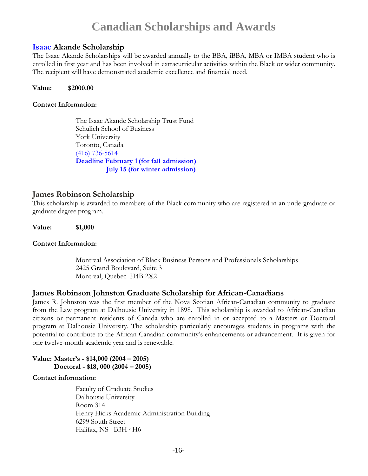#### **Isaac Akande Scholarship**

The Isaac Akande Scholarships will be awarded annually to the BBA, iBBA, MBA or IMBA student who is enrolled in first year and has been involved in extracurricular activities within the Black or wider community. The recipient will have demonstrated academic excellence and financial need.

#### **Value: \$2000.00**

#### **Contact Information:**

The Isaac Akande Scholarship Trust Fund Schulich School of Business York University Toronto, Canada (416) 736-5614 **Deadline February 1(for fall admission) July 15 (for winter admission)** 

#### **James Robinson Scholarship**

This scholarship is awarded to members of the Black community who are registered in an undergraduate or graduate degree program.

**Value: \$1,000** 

#### **Contact Information:**

Montreal Association of Black Business Persons and Professionals Scholarships 2425 Grand Boulevard, Suite 3 Montreal, Quebec H4B 2X2

#### **James Robinson Johnston Graduate Scholarship for African-Canadians**

James R. Johnston was the first member of the Nova Scotian African-Canadian community to graduate from the Law program at Dalhousie University in 1898. This scholarship is awarded to African-Canadian citizens or permanent residents of Canada who are enrolled in or accepted to a Masters or Doctoral program at Dalhousie University. The scholarship particularly encourages students in programs with the potential to contribute to the African-Canadian community's enhancements or advancement. It is given for one twelve-month academic year and is renewable.

#### **Value: Master's - \$14,000 (2004 – 2005) Doctoral - \$18, 000 (2004 – 2005)**

#### **Contact information:**

Faculty of Graduate Studies Dalhousie University Room 314 Henry Hicks Academic Administration Building 6299 South Street Halifax, NS B3H 4H6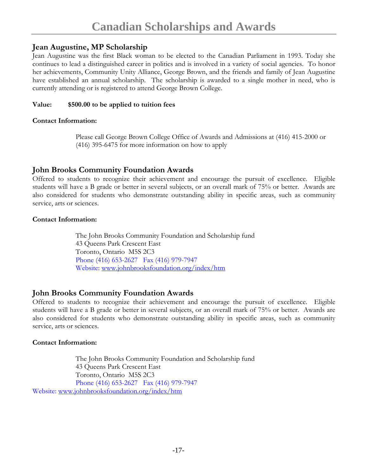#### **Jean Augustine, MP Scholarship**

Jean Augustine was the first Black woman to be elected to the Canadian Parliament in 1993. Today she continues to lead a distinguished career in politics and is involved in a variety of social agencies. To honor her achievements, Community Unity Alliance, George Brown, and the friends and family of Jean Augustine have established an annual scholarship. The scholarship is awarded to a single mother in need, who is currently attending or is registered to attend George Brown College.

#### **Value: \$500.00 to be applied to tuition fees**

#### **Contact Information:**

Please call George Brown College Office of Awards and Admissions at (416) 415-2000 or (416) 395-6475 for more information on how to apply

#### **John Brooks Community Foundation Awards**

Offered to students to recognize their achievement and encourage the pursuit of excellence. Eligible students will have a B grade or better in several subjects, or an overall mark of 75% or better. Awards are also considered for students who demonstrate outstanding ability in specific areas, such as community service, arts or sciences.

#### **Contact Information:**

The John Brooks Community Foundation and Scholarship fund 43 Queens Park Crescent East Toronto, Ontario M5S 2C3 Phone (416) 653-2627 Fax (416) 979-7947 Website: www.johnbrooksfoundation.org/index/htm

#### **John Brooks Community Foundation Awards**

Offered to students to recognize their achievement and encourage the pursuit of excellence. Eligible students will have a B grade or better in several subjects, or an overall mark of 75% or better. Awards are also considered for students who demonstrate outstanding ability in specific areas, such as community service, arts or sciences.

#### **Contact Information:**

The John Brooks Community Foundation and Scholarship fund 43 Queens Park Crescent East Toronto, Ontario M5S 2C3 Phone (416) 653-2627 Fax (416) 979-7947 Website: www.johnbrooksfoundation.org/index/htm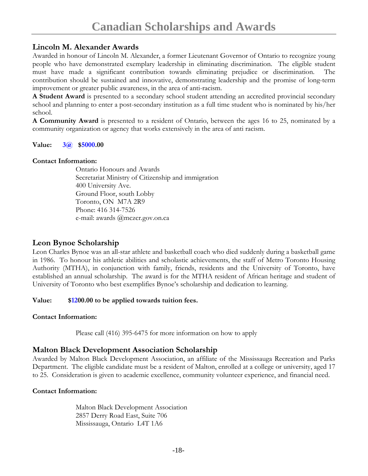#### **Lincoln M. Alexander Awards**

Awarded in honour of Lincoln M. Alexander, a former Lieutenant Governor of Ontario to recognize young people who have demonstrated exemplary leadership in eliminating discrimination. The eligible student must have made a significant contribution towards eliminating prejudice or discrimination. The contribution should be sustained and innovative, demonstrating leadership and the promise of long-term improvement or greater public awareness, in the area of anti-racism.

**A Student Award** is presented to a secondary school student attending an accredited provincial secondary school and planning to enter a post-secondary institution as a full time student who is nominated by his/her school.

**A Community Award** is presented to a resident of Ontario, between the ages 16 to 25, nominated by a community organization or agency that works extensively in the area of anti racism.

#### **Value: 3@ \$5000.00**

#### **Contact Information:**

Ontario Honours and Awards Secretariat Ministry of Citizenship and immigration 400 University Ave. Ground Floor, south Lobby Toronto, ON M7A 2R9 Phone: 416 314-7526 e-mail: awards @mczcr.gov.on.ca

#### **Leon Bynoe Scholarship**

Leon Charles Bynoe was an all-star athlete and basketball coach who died suddenly during a basketball game in 1986. To honour his athletic abilities and scholastic achievements, the staff of Metro Toronto Housing Authority (MTHA), in conjunction with family, friends, residents and the University of Toronto, have established an annual scholarship. The award is for the MTHA resident of African heritage and student of University of Toronto who best exemplifies Bynoe's scholarship and dedication to learning.

#### **Value: \$1200.00 to be applied towards tuition fees.**

#### **Contact Information:**

Please call (416) 395-6475 for more information on how to apply

#### **Malton Black Development Association Scholarship**

Awarded by Malton Black Development Association, an affiliate of the Mississauga Recreation and Parks Department. The eligible candidate must be a resident of Malton, enrolled at a college or university, aged 17 to 25. Consideration is given to academic excellence, community volunteer experience, and financial need.

#### **Contact Information:**

Malton Black Development Association 2857 Derry Road East, Suite 706 Mississauga, Ontario L4T 1A6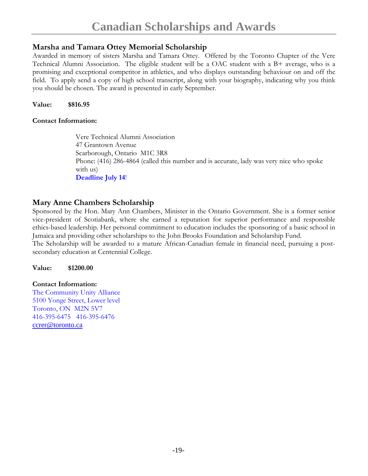#### **Marsha and Tamara Ottey Memorial Scholarship**

Awarded in memory of sisters Marsha and Tamara Ottey. Offered by the Toronto Chapter of the Vere Technical Alumni Association. The eligible student will be a OAC student with a B+ average, who is a promising and exceptional competitor in athletics, and who displays outstanding behaviour on and off the field. To apply send a copy of high school transcript, along with your biography, indicating why you think you should be chosen. The award is presented in early September.

**Value: \$816.95** 

#### **Contact Information:**

Vere Technical Alumni Association 47 Grantown Avenue Scarborough, Ontario M1C 3R8 Phone: (416) 286-4864 (called this number and is accurate, lady was very nice who spoke with us) **Deadline July 14**!

#### **Mary Anne Chambers Scholarship**

Sponsored by the Hon. Mary Ann Chambers, Minister in the Ontario Government. She is a former senior vice-president of Scotiabank, where she earned a reputation for superior performance and responsible ethics-based leadership. Her personal commitment to education includes the sponsoring of a basic school in Jamaica and providing other scholarships to the John Brooks Foundation and Scholarship Fund.

The Scholarship will be awarded to a mature African-Canadian female in financial need, pursuing a postsecondary education at Centennial College.

**Value: \$1200.00** 

#### **Contact Information:**

The Community Unity Alliance 5100 Yonge Street, Lower level Toronto, ON M2N 5V7 416-395-6475 416-395-6476 ccrer@toronto.ca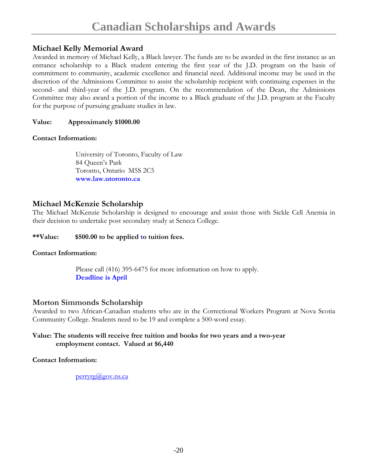### **Michael Kelly Memorial Award**

Awarded in memory of Michael Kelly, a Black lawyer. The funds are to be awarded in the first instance as an entrance scholarship to a Black student entering the first year of the J.D. program on the basis of commitment to community, academic excellence and financial need. Additional income may be used in the discretion of the Admissions Committee to assist the scholarship recipient with continuing expenses in the second- and third-year of the J.D. program. On the recommendation of the Dean, the Admissions Committee may also award a portion of the income to a Black graduate of the J.D. program at the Faculty for the purpose of pursuing graduate studies in law.

#### **Value: Approximately \$1000.00**

#### **Contact Information:**

University of Toronto, Faculty of Law 84 Queen's Park Toronto, Ontario M5S 2C5  **www.law.utoronto.ca** 

#### **Michael McKenzie Scholarship**

The Michael McKenzie Scholarship is designed to encourage and assist those with Sickle Cell Anemia in their decision to undertake post secondary study at Seneca College.

#### **\*\*Value: \$500.00 to be applied to tuition fees.**

#### **Contact Information:**

Please call (416) 395-6475 for more information on how to apply. **Deadline is April** 

#### **Morton Simmonds Scholarship**

Awarded to two African-Canadian students who are in the Correctional Workers Program at Nova Scotia Community College. Students need to be 19 and complete a 500-word essay.

#### **Value: The students will receive free tuition and books for two years and a two-year employment contact. Valued at \$6,440**

#### **Contact Information:**

perryrg@gov.ns.ca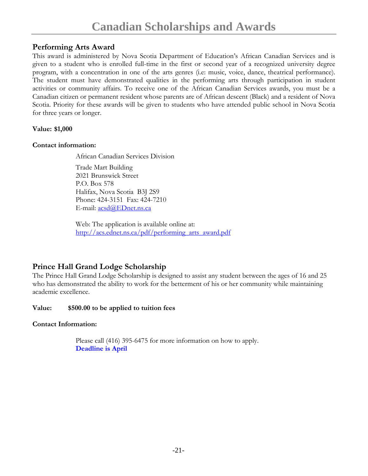#### **Performing Arts Award**

This award is administered by Nova Scotia Department of Education's African Canadian Services and is given to a student who is enrolled full-time in the first or second year of a recognized university degree program, with a concentration in one of the arts genres (i.e: music, voice, dance, theatrical performance). The student must have demonstrated qualities in the performing arts through participation in student activities or community affairs. To receive one of the African Canadian Services awards, you must be a Canadian citizen or permanent resident whose parents are of African descent (Black) and a resident of Nova Scotia. Priority for these awards will be given to students who have attended public school in Nova Scotia for three years or longer.

#### **Value: \$1,000**

#### **Contact information:**

African Canadian Services Division

Trade Mart Building 2021 Brunswick Street P.O. Box 578 Halifax, Nova Scotia B3J 2S9 Phone: 424-3151 Fax: 424-7210 E-mail: acsd@EDnet.ns.ca

Web: The application is available online at: http://acs.ednet.ns.ca/pdf/performing\_arts\_award.pdf

### **Prince Hall Grand Lodge Scholarship**

The Prince Hall Grand Lodge Scholarship is designed to assist any student between the ages of 16 and 25 who has demonstrated the ability to work for the betterment of his or her community while maintaining academic excellence.

#### **Value: \$500.00 to be applied to tuition fees**

#### **Contact Information:**

Please call (416) 395-6475 for more information on how to apply. **Deadline is April**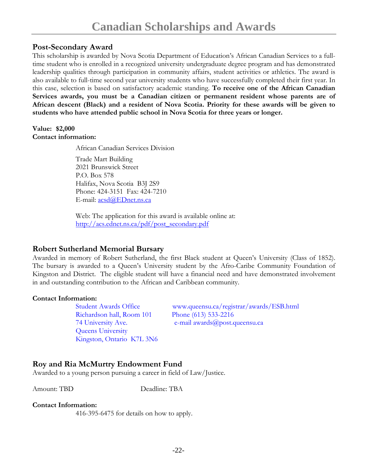#### **Post-Secondary Award**

This scholarship is awarded by Nova Scotia Department of Education's African Canadian Services to a fulltime student who is enrolled in a recognized university undergraduate degree program and has demonstrated leadership qualities through participation in community affairs, student activities or athletics. The award is also available to full-time second year university students who have successfully completed their first year. In this case, selection is based on satisfactory academic standing. **To receive one of the African Canadian Services awards, you must be a Canadian citizen or permanent resident whose parents are of African descent (Black) and a resident of Nova Scotia. Priority for these awards will be given to students who have attended public school in Nova Scotia for three years or longer.** 

#### **Value: \$2,000 Contact information:**

African Canadian Services Division

Trade Mart Building 2021 Brunswick Street P.O. Box 578 Halifax, Nova Scotia B3J 2S9 Phone: 424-3151 Fax: 424-7210 E-mail: <u>acsd@EDnet.ns.ca</u>

Web: The application for this award is available online at: http://acs.ednet.ns.ca/pdf/post\_secondary.pdf

#### **Robert Sutherland Memorial Bursary**

Awarded in memory of Robert Sutherland, the first Black student at Queen's University (Class of 1852). The bursary is awarded to a Queen's University student by the Afro-Caribe Community Foundation of Kingston and District. The eligible student will have a financial need and have demonstrated involvement in and outstanding contribution to the African and Caribbean community.

#### **Contact Information:**

Richardson hall, Room 101 Phone (613) 533-2216 Queens University Kingston, Ontario K7L 3N6

Student Awards Office www.queensu.ca/registrar/awards/ESB.html 74 University Ave. e-mail awards@post.queensu.ca

#### **Roy and Ria McMurtry Endowment Fund**

Awarded to a young person pursuing a career in field of Law/Justice.

Amount: TBD Deadline: TBA

#### **Contact Information:**

416-395-6475 for details on how to apply.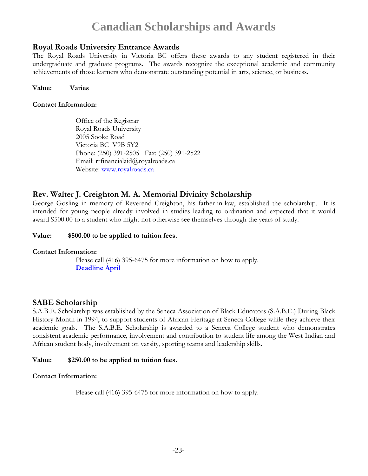#### **Royal Roads University Entrance Awards**

The Royal Roads University in Victoria BC offers these awards to any student registered in their undergraduate and graduate programs. The awards recognize the exceptional academic and community achievements of those learners who demonstrate outstanding potential in arts, science, or business.

#### **Value: Varies**

#### **Contact Information:**

Office of the Registrar Royal Roads University 2005 Sooke Road Victoria BC V9B 5Y2 Phone: (250) 391-2505 Fax: (250) 391-2522 Email: rrfinancialaid@royalroads.ca Website: www.royalroads.ca

#### **Rev. Walter J. Creighton M. A. Memorial Divinity Scholarship**

George Gosling in memory of Reverend Creighton, his father-in-law, established the scholarship. It is intended for young people already involved in studies leading to ordination and expected that it would award \$500.00 to a student who might not otherwise see themselves through the years of study.

#### **Value: \$500.00 to be applied to tuition fees.**

#### **Contact Information:**

Please call (416) 395-6475 for more information on how to apply. **Deadline April** 

#### **SABE Scholarship**

S.A.B.E. Scholarship was established by the Seneca Association of Black Educators (S.A.B.E.) During Black History Month in 1994, to support students of African Heritage at Seneca College while they achieve their academic goals. The S.A.B.E. Scholarship is awarded to a Seneca College student who demonstrates consistent academic performance, involvement and contribution to student life among the West Indian and African student body, involvement on varsity, sporting teams and leadership skills.

#### **Value: \$250.00 to be applied to tuition fees.**

#### **Contact Information:**

Please call (416) 395-6475 for more information on how to apply.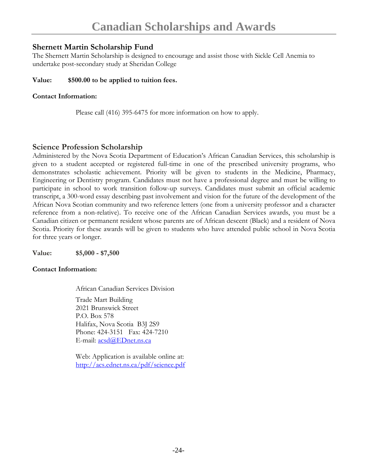#### **Shernett Martin Scholarship Fund**

The Shernett Martin Scholarship is designed to encourage and assist those with Sickle Cell Anemia to undertake post-secondary study at Sheridan College

#### **Value: \$500.00 to be applied to tuition fees.**

#### **Contact Information:**

Please call (416) 395-6475 for more information on how to apply.

#### **Science Profession Scholarship**

Administered by the Nova Scotia Department of Education's African Canadian Services, this scholarship is given to a student accepted or registered full-time in one of the prescribed university programs, who demonstrates scholastic achievement. Priority will be given to students in the Medicine, Pharmacy, Engineering or Dentistry program. Candidates must not have a professional degree and must be willing to participate in school to work transition follow-up surveys. Candidates must submit an official academic transcript, a 300-word essay describing past involvement and vision for the future of the development of the African Nova Scotian community and two reference letters (one from a university professor and a character reference from a non-relative). To receive one of the African Canadian Services awards, you must be a Canadian citizen or permanent resident whose parents are of African descent (Black) and a resident of Nova Scotia. Priority for these awards will be given to students who have attended public school in Nova Scotia for three years or longer.

**Value: \$5,000 - \$7,500** 

#### **Contact Information:**

African Canadian Services Division Trade Mart Building 2021 Brunswick Street P.O. Box 578 Halifax, Nova Scotia B3J 2S9 Phone: 424-3151 Fax: 424-7210 E-mail: acsd@EDnet.ns.ca

Web: Application is available online at: http://acs.ednet.ns.ca/pdf/science.pdf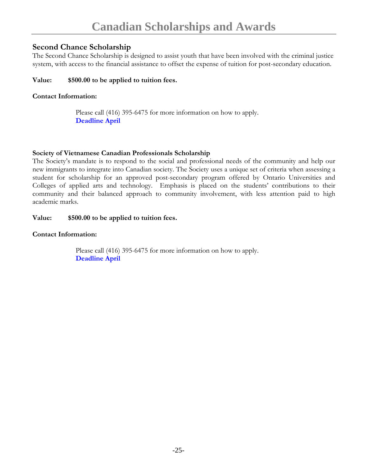#### **Second Chance Scholarship**

The Second Chance Scholarship is designed to assist youth that have been involved with the criminal justice system, with access to the financial assistance to offset the expense of tuition for post-secondary education.

#### **Value: \$500.00 to be applied to tuition fees.**

#### **Contact Information:**

Please call (416) 395-6475 for more information on how to apply. **Deadline April** 

#### **Society of Vietnamese Canadian Professionals Scholarship**

The Society's mandate is to respond to the social and professional needs of the community and help our new immigrants to integrate into Canadian society. The Society uses a unique set of criteria when assessing a student for scholarship for an approved post-secondary program offered by Ontario Universities and Colleges of applied arts and technology. Emphasis is placed on the students' contributions to their community and their balanced approach to community involvement, with less attention paid to high academic marks.

#### **Value: \$500.00 to be applied to tuition fees.**

#### **Contact Information:**

Please call (416) 395-6475 for more information on how to apply. **Deadline April**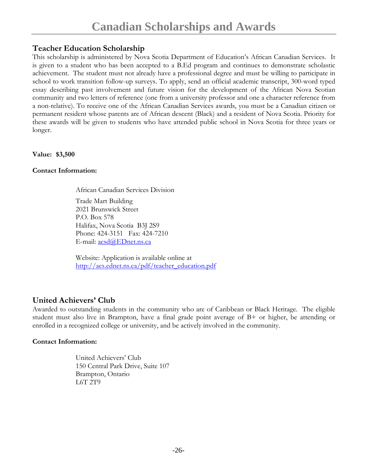#### **Teacher Education Scholarship**

This scholarship is administered by Nova Scotia Department of Education's African Canadian Services. It is given to a student who has been accepted to a B.Ed program and continues to demonstrate scholastic achievement. The student must not already have a professional degree and must be willing to participate in school to work transition follow-up surveys. To apply, send an official academic transcript, 300-word typed essay describing past involvement and future vision for the development of the African Nova Scotian community and two letters of reference (one from a university professor and one a character reference from a non-relative). To receive one of the African Canadian Services awards, you must be a Canadian citizen or permanent resident whose parents are of African descent (Black) and a resident of Nova Scotia. Priority for these awards will be given to students who have attended public school in Nova Scotia for three years or longer.

**Value: \$3,500** 

#### **Contact Information:**

African Canadian Services Division

Trade Mart Building 2021 Brunswick Street P.O. Box 578 Halifax, Nova Scotia B3J 2S9 Phone: 424-3151 Fax: 424-7210 E-mail: acsd@EDnet.ns.ca

Website: Application is available online at http://acs.ednet.ns.ca/pdf/teacher\_education.pdf

#### **United Achievers' Club**

Awarded to outstanding students in the community who are of Caribbean or Black Heritage. The eligible student must also live in Brampton, have a final grade point average of B+ or higher, be attending or enrolled in a recognized college or university, and be actively involved in the community.

#### **Contact Information:**

United Achievers' Club 150 Central Park Drive, Suite 107 Brampton, Ontario L6T 2T9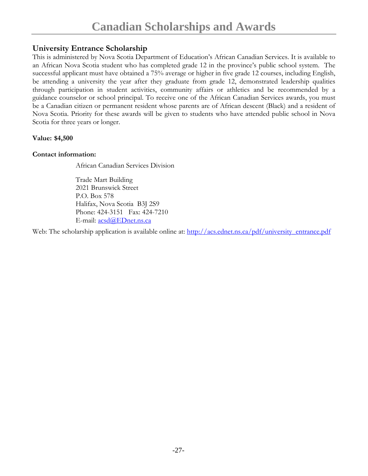#### **University Entrance Scholarship**

This is administered by Nova Scotia Department of Education's African Canadian Services. It is available to an African Nova Scotia student who has completed grade 12 in the province's public school system. The successful applicant must have obtained a 75% average or higher in five grade 12 courses, including English, be attending a university the year after they graduate from grade 12, demonstrated leadership qualities through participation in student activities, community affairs or athletics and be recommended by a guidance counselor or school principal. To receive one of the African Canadian Services awards, you must be a Canadian citizen or permanent resident whose parents are of African descent (Black) and a resident of Nova Scotia. Priority for these awards will be given to students who have attended public school in Nova Scotia for three years or longer.

**Value: \$4,500** 

#### **Contact information:**

African Canadian Services Division

Trade Mart Building 2021 Brunswick Street P.O. Box 578 Halifax, Nova Scotia B3J 2S9 Phone: 424-3151 Fax: 424-7210 E-mail: <u>acsd</u>@EDnet.ns.ca

Web: The scholarship application is available online at: http://acs.ednet.ns.ca/pdf/university\_entrance.pdf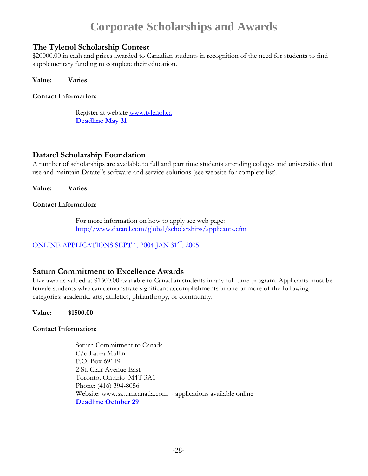#### **The Tylenol Scholarship Contest**

\$20000.00 in cash and prizes awarded to Canadian students in recognition of the need for students to find supplementary funding to complete their education.

**Value: Varies** 

**Contact Information:** 

Register at website www.tylenol.ca **Deadline May 31** 

#### **Datatel Scholarship Foundation**

A number of scholarships are available to full and part time students attending colleges and universities that use and maintain Datatel's software and service solutions (see website for complete list).

**Value: Varies** 

#### **Contact Information:**

For more information on how to apply see web page: http://www.datatel.com/global/scholarships/applicants.cfm

ONLINE APPLICATIONS SEPT 1, 2004-JAN 31<sup>st</sup>, 2005

#### **Saturn Commitment to Excellence Awards**

Five awards valued at \$1500.00 available to Canadian students in any full-time program. Applicants must be female students who can demonstrate significant accomplishments in one or more of the following categories: academic, arts, athletics, philanthropy, or community.

**Value: \$1500.00** 

#### **Contact Information:**

Saturn Commitment to Canada C/o Laura Mullin P.O. Box 69119 2 St. Clair Avenue East Toronto, Ontario M4T 3A1 Phone: (416) 394-8056 Website: www.saturncanada.com - applications available online **Deadline October 29**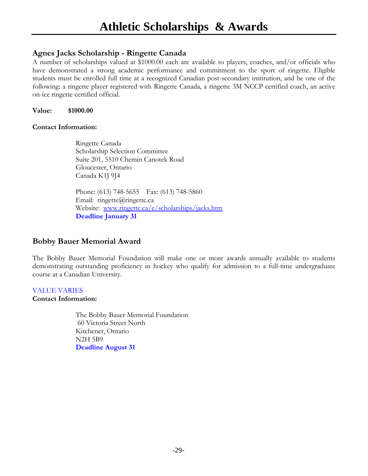#### **Agnes Jacks Scholarship - Ringette Canada**

A number of scholarships valued at \$1000.00 each are available to players, coaches, and/or officials who have demonstrated a strong academic performance and commitment to the sport of ringette. Eligible students must be enrolled full time at a recognized Canadian post-secondary institution, and be one of the following: a ringette player registered with Ringette Canada, a ringette 3M NCCP certified coach, an active on-ice ringette certified official.

**Value: \$1000.00** 

#### **Contact Information:**

Ringette Canada Scholarship Selection Committee Suite 201, 5510 Chemin Canotek Road Gloucester, Ontario Canada K1J 9J4

Phone: (613) 748-5655 Fax: (613) 748-5860 Email: ringette@ringette.ca Website: www.ringette.ca/e/scholarships/jacks.htm **Deadline January 31** 

#### **Bobby Bauer Memorial Award**

The Bobby Bauer Memorial Foundation will make one or more awards annually available to students demonstrating outstanding proficiency in hockey who qualify for admission to a full-time undergraduate course at a Canadian University.

#### VALUE VARIES

#### **Contact Information:**

The Bobby Bauer Memorial Foundation 60 Victoria Street North Kitchener, Ontario N2H 5B9 **Deadline August 31**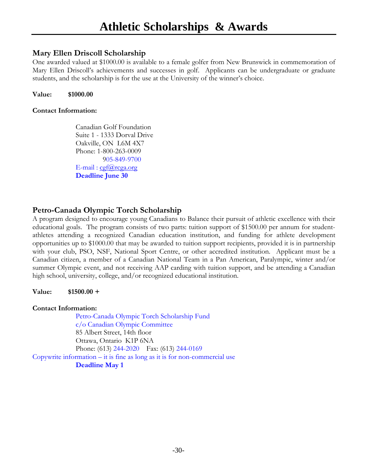#### **Mary Ellen Driscoll Scholarship**

One awarded valued at \$1000.00 is available to a female golfer from New Brunswick in commemoration of Mary Ellen Driscoll's achievements and successes in golf. Applicants can be undergraduate or graduate students, and the scholarship is for the use at the University of the winner's choice.

**Value: \$1000.00** 

#### **Contact Information:**

Canadian Golf Foundation Suite 1 - 1333 Dorval Drive Oakville, ON L6M 4X7 Phone: 1-800-263-0009 905-849-9700 E-mail:  $cgf@rcga.org$ **Deadline June 30** 

#### **Petro-Canada Olympic Torch Scholarship**

A program designed to encourage young Canadians to Balance their pursuit of athletic excellence with their educational goals. The program consists of two parts: tuition support of \$1500.00 per annum for studentathletes attending a recognized Canadian education institution, and funding for athlete development opportunities up to \$1000.00 that may be awarded to tuition support recipients, provided it is in partnership with your club, PSO, NSF, National Sport Centre, or other accredited institution. Applicant must be a Canadian citizen, a member of a Canadian National Team in a Pan American, Paralympic, winter and/or summer Olympic event, and not receiving AAP carding with tuition support, and be attending a Canadian high school, university, college, and/or recognized educational institution.

#### **Value: \$1500.00 +**

#### **Contact Information:**

Petro-Canada Olympic Torch Scholarship Fund c/o Canadian Olympic Committee 85 Albert Street, 14th floor Ottawa, Ontario K1P 6NA Phone: (613) 244-2020 Fax: (613) 244-0169 Copywrite information – it is fine as long as it is for non-commercial use **Deadline May 1**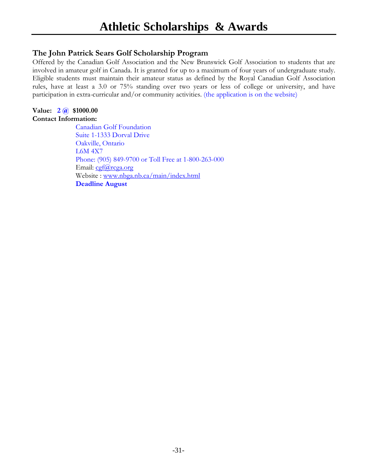#### **The John Patrick Sears Golf Scholarship Program**

Offered by the Canadian Golf Association and the New Brunswick Golf Association to students that are involved in amateur golf in Canada. It is granted for up to a maximum of four years of undergraduate study. Eligible students must maintain their amateur status as defined by the Royal Canadian Golf Association rules, have at least a 3.0 or 75% standing over two years or less of college or university, and have participation in extra-curricular and/or community activities. (the application is on the website)

#### **Value: 2 @ \$1000.00 Contact Information:**

Canadian Golf Foundation Suite 1-1333 Dorval Drive Oakville, Ontario L6M 4X7 Phone: (905) 849-9700 or Toll Free at 1-800-263-000 Email: cgf@rcga.org Website : www.nbga.nb.ca/main/index.html **Deadline August**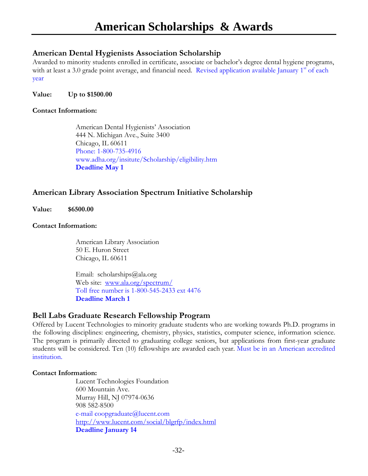#### **American Dental Hygienists Association Scholarship**

Awarded to minority students enrolled in certificate, associate or bachelor's degree dental hygiene programs, with at least a 3.0 grade point average, and financial need. Revised application available January  $1<sup>st</sup>$  of each year

**Value: Up to \$1500.00** 

#### **Contact Information:**

American Dental Hygienists' Association 444 N. Michigan Ave., Suite 3400 Chicago, IL 60611 Phone: 1-800-735-4916 www.adha.org/insitute/Scholarship/eligibility.htm **Deadline May 1** 

#### **American Library Association Spectrum Initiative Scholarship**

**Value: \$6500.00** 

#### **Contact Information:**

American Library Association 50 E. Huron Street Chicago, IL 60611

Email: scholarships@ala.org Web site: www.ala.org/spectrum/ Toll free number is 1-800-545-2433 ext 4476 **Deadline March 1** 

#### **Bell Labs Graduate Research Fellowship Program**

Offered by Lucent Technologies to minority graduate students who are working towards Ph.D. programs in the following disciplines: engineering, chemistry, physics, statistics, computer science, information science. The program is primarily directed to graduating college seniors, but applications from first-year graduate students will be considered. Ten (10) fellowships are awarded each year. Must be in an American accredited institution.

#### **Contact Information:**

Lucent Technologies Foundation 600 Mountain Ave. Murray Hill, NJ 07974-0636 908 582-8500 e-mail coopgraduate@lucent.com http://www.lucent.com/social/blgrfp/index.html **Deadline January 14**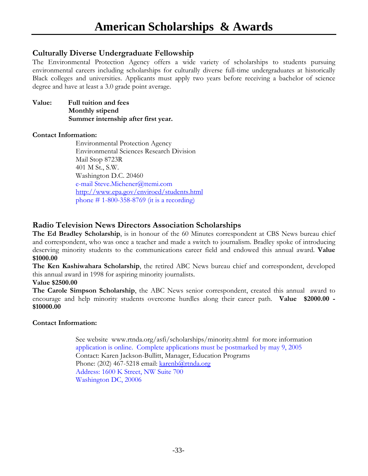#### **Culturally Diverse Undergraduate Fellowship**

The Environmental Protection Agency offers a wide variety of scholarships to students pursuing environmental careers including scholarships for culturally diverse full-time undergraduates at historically Black colleges and universities. Applicants must apply two years before receiving a bachelor of science degree and have at least a 3.0 grade point average.

**Value: Full tuition and fees Monthly stipend Summer internship after first year.**

#### **Contact Information:**

Environmental Protection Agency Environmental Sciences Research Division Mail Stop 8723R 401 M St., S.W. Washington D.C. 20460 e-mail Steve.Michener@ttemi.com http://www.epa.gov/enviroed/students.html phone # 1-800-358-8769 (it is a recording)

#### **Radio Television News Directors Association Scholarships**

**The Ed Bradley Scholarship**, is in honour of the 60 Minutes correspondent at CBS News bureau chief and correspondent, who was once a teacher and made a switch to journalism. Bradley spoke of introducing deserving minority students to the communications career field and endowed this annual award. **Value \$1000.00** 

**The Ken Kashiwahara Scholarship**, the retired ABC News bureau chief and correspondent, developed this annual award in 1998 for aspiring minority journalists.

#### **Value \$2500.00**

**The Carole Simpson Scholarship**, the ABC News senior correspondent, created this annual award to encourage and help minority students overcome hurdles along their career path. **Value \$2000.00 - \$10000.00** 

#### **Contact Information:**

See website www.rtnda.org/asfi/scholarships/minority.shtml for more information application is online. Complete applications must be postmarked by may 9, 2005 Contact: Karen Jackson-Bullitt, Manager, Education Programs Phone: (202) 467-5218 email: karenb@rtnda.org Address: 1600 K Street, NW Suite 700 Washington DC, 20006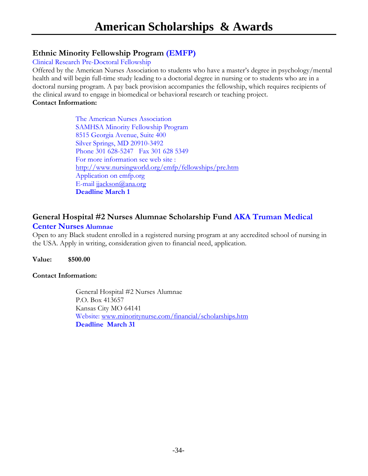### **Ethnic Minority Fellowship Program (EMFP)**

Clinical Research Pre-Doctoral Fellowship

Offered by the American Nurses Association to students who have a master's degree in psychology/mental health and will begin full-time study leading to a doctorial degree in nursing or to students who are in a doctoral nursing program. A pay back provision accompanies the fellowship, which requires recipients of the clinical award to engage in biomedical or behavioral research or teaching project. **Contact Information:** 

> The American Nurses Association SAMHSA Minority Fellowship Program 8515 Georgia Avenue, Suite 400 Silver Springs, MD 20910-3492 Phone 301 628-5247 Fax 301 628 5349 For more information see web site : http://www.nursingworld.org/emfp/fellowships/pre.htm Application on emfp.org E-mail jjackson@ana.org **Deadline March 1**

#### **General Hospital #2 Nurses Alumnae Scholarship Fund AKA Truman Medical Center Nurses Alumnae**

Open to any Black student enrolled in a registered nursing program at any accredited school of nursing in the USA. Apply in writing, consideration given to financial need, application.

**Value: \$500.00**

#### **Contact Information:**

General Hospital #2 Nurses Alumnae P.O. Box 413657 Kansas City MO 64141 Website: www.minoritynurse.com/financial/scholarships.htm **Deadline March 31**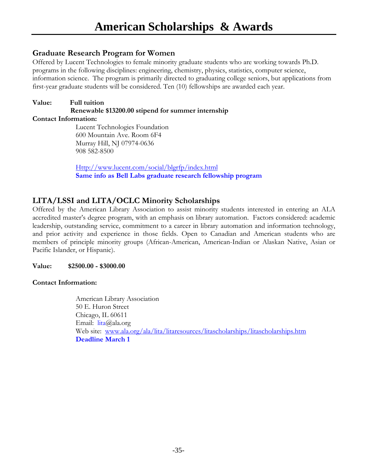#### **Graduate Research Program for Women**

Offered by Lucent Technologies to female minority graduate students who are working towards Ph.D. programs in the following disciplines: engineering, chemistry, physics, statistics, computer science, information science. The program is primarily directed to graduating college seniors, but applications from first-year graduate students will be considered. Ten (10) fellowships are awarded each year.

#### **Value: Full tuition Renewable \$13200.00 stipend for summer internship**

#### **Contact Information:**

Lucent Technologies Foundation 600 Mountain Ave. Room 6F4 Murray Hill, NJ 07974-0636 908 582-8500

Http://www.lucent.com/social/blgrfp/index.html **Same info as Bell Labs graduate research fellowship program** 

#### **LITA/LSSI and LITA/OCLC Minority Scholarships**

Offered by the American Library Association to assist minority students interested in entering an ALA accredited master's degree program, with an emphasis on library automation. Factors considered: academic leadership, outstanding service, commitment to a career in library automation and information technology, and prior activity and experience in those fields. Open to Canadian and American students who are members of principle minority groups (African-American, American-Indian or Alaskan Native, Asian or Pacific Islander, or Hispanic).

#### **Value: \$2500.00 - \$3000.00**

#### **Contact Information:**

American Library Association 50 E. Huron Street Chicago, IL 60611 Email: lita@ala.org Web site: www.ala.org/ala/lita/litaresources/litascholarships/litascholarships.htm **Deadline March 1**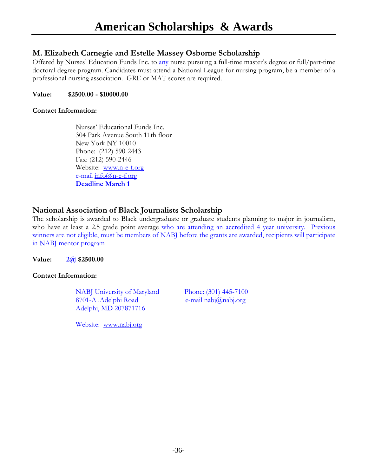#### **M. Elizabeth Carnegie and Estelle Massey Osborne Scholarship**

Offered by Nurses' Education Funds Inc. to any nurse pursuing a full-time master's degree or full/part-time doctoral degree program. Candidates must attend a National League for nursing program, be a member of a professional nursing association. GRE or MAT scores are required.

#### **Value: \$2500.00 - \$10000.00**

#### **Contact Information:**

Nurses' Educational Funds Inc. 304 Park Avenue South 11th floor New York NY 10010 Phone: (212) 590-2443 Fax: (212) 590-2446 Website: www.n-e-f.org e-mail info@n-e-f.org **Deadline March 1** 

#### **National Association of Black Journalists Scholarship**

The scholarship is awarded to Black undergraduate or graduate students planning to major in journalism, who have at least a 2.5 grade point average who are attending an accredited 4 year university. Previous winners are not eligible, must be members of NABJ before the grants are awarded, recipients will participate in NABJ mentor program

**Value: 2@ \$2500.00** 

#### **Contact Information:**

NABJ University of Maryland Phone: (301) 445-7100 8701-A .Adelphi Road e-mail nabj@nabj.org Adelphi, MD 207871716

Website: www.nabj.org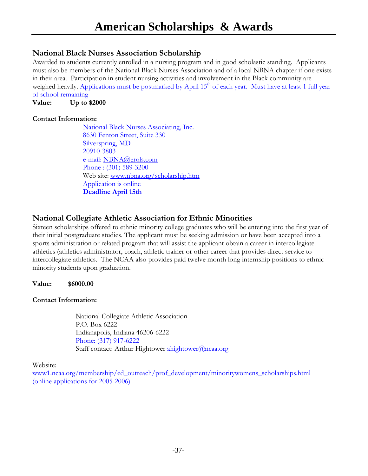#### **National Black Nurses Association Scholarship**

Awarded to students currently enrolled in a nursing program and in good scholastic standing. Applicants must also be members of the National Black Nurses Association and of a local NBNA chapter if one exists in their area. Participation in student nursing activities and involvement in the Black community are weighed heavily. Applications must be postmarked by April 15<sup>th</sup> of each year. Must have at least 1 full year of school remaining

**Value: Up to \$2000** 

#### **Contact Information:**

 National Black Nurses Associating, Inc. 8630 Fenton Street, Suite 330 Silverspring, MD 20910-3803 e-mail: NBNA@erols.com Phone : (301) 589-3200 Web site: www.nbna.org/scholarship.htm Application is online **Deadline April 15th** 

#### **National Collegiate Athletic Association for Ethnic Minorities**

Sixteen scholarships offered to ethnic minority college graduates who will be entering into the first year of their initial postgraduate studies. The applicant must be seeking admission or have been accepted into a sports administration or related program that will assist the applicant obtain a career in intercollegiate athletics (athletics administrator, coach, athletic trainer or other career that provides direct service to intercollegiate athletics. The NCAA also provides paid twelve month long internship positions to ethnic minority students upon graduation.

#### **Value: \$6000.00**

#### **Contact Information:**

National Collegiate Athletic Association P.O. Box 6222 Indianapolis, Indiana 46206-6222 Phone: (317) 917-6222 Staff contact: Arthur Hightower ahightower@ncaa.org

Website:

www1.ncaa.org/membership/ed\_outreach/prof\_development/minoritywomens\_scholarships.html (online applications for 2005-2006)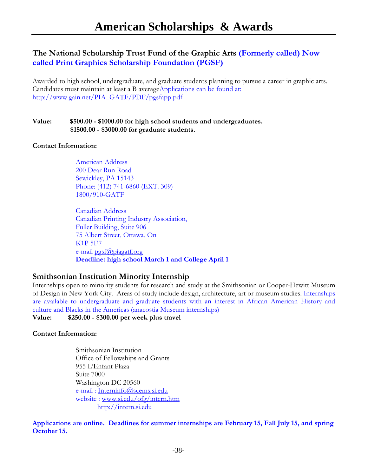#### **The National Scholarship Trust Fund of the Graphic Arts (Formerly called) Now called Print Graphics Scholarship Foundation (PGSF)**

Awarded to high school, undergraduate, and graduate students planning to pursue a career in graphic arts. Candidates must maintain at least a B averageApplications can be found at: http://www.gain.net/PIA\_GATF/PDF/pgsfapp.pdf

#### **Value: \$500.00 - \$1000.00 for high school students and undergraduates. \$1500.00 - \$3000.00 for graduate students.**

#### **Contact Information:**

American Address 200 Dear Run Road Sewickley, PA 15143 Phone: (412) 741-6860 (EXT. 309) 1800/910-GATF

Canadian Address Canadian Printing Industry Association, Fuller Building, Suite 906 75 Albert Street, Ottawa, On K1P 5E7 e-mail pgsf@piagatf.org **Deadline: high school March 1 and College April 1** 

#### **Smithsonian Institution Minority Internship**

Internships open to minority students for research and study at the Smithsonian or Cooper-Hewitt Museum of Design in New York City. Areas of study include design, architecture, art or museum studies. Internships are available to undergraduate and graduate students with an interest in African American History and culture and Blacks in the Americas (anacostia Museum internships)

#### **Value: \$250.00 - \$300.00 per week plus travel**

#### **Contact Information:**

Smithsonian Institution Office of Fellowships and Grants 955 L'Enfant Plaza Suite 7000 Washington DC 20560 e-mail : Interninfo@scems.si.edu website : www.si.edu/ofg/intern.htm http://intern.si.edu

**Applications are online. Deadlines for summer internships are February 15, Fall July 15, and spring October 15.**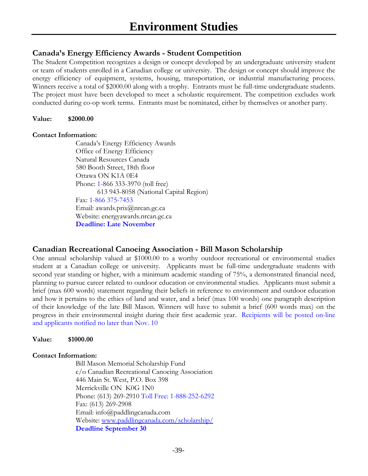#### **Canada's Energy Efficiency Awards - Student Competition**

The Student Competition recognizes a design or concept developed by an undergraduate university student or team of students enrolled in a Canadian college or university. The design or concept should improve the energy efficiency of equipment, systems, housing, transportation, or industrial manufacturing process. Winners receive a total of \$2000.00 along with a trophy. Entrants must be full-time undergraduate students. The project must have been developed to meet a scholastic requirement. The competition excludes work conducted during co-op work terms. Entrants must be nominated, either by themselves or another party.

#### **Value: \$2000.00**

#### **Contact Information:**

Canada's Energy Efficiency Awards Office of Energy Efficiency Natural Resources Canada 580 Booth Street, 18th floor Ottawa ON K1A 0E4 Phone: 1-866 333-3970 (toll free) 613 943-8058 (National Capital Region) Fax: 1-866 375-7453 Email: awards.prix@nrcan.gc.ca Website: energyawards.nrcan.gc.ca **Deadline: Late November** 

#### **Canadian Recreational Canoeing Association - Bill Mason Scholarship**

One annual scholarship valued at \$1000.00 to a worthy outdoor recreational or environmental studies student at a Canadian college or university. Applicants must be full-time undergraduate students with second year standing or higher, with a minimum academic standing of 75%, a demonstrated financial need, planning to pursue career related to outdoor education or environmental studies. Applicants must submit a brief (max 600 words) statement regarding their beliefs in reference to environment and outdoor education and how it pertains to the ethics of land and water, and a brief (max 100 words) one paragraph description of their knowledge of the late Bill Mason. Winners will have to submit a brief (600 words max) on the progress in their environmental insight during their first academic year. Recipients will be posted on-line and applicants notified no later than Nov. 10

#### **Value: \$1000.00**

#### **Contact Information:**

Bill Mason Memorial Scholarship Fund c/o Canadian Recreational Canoeing Association 446 Main St. West, P.O. Box 398 Merrickville ON K0G 1N0 Phone: (613) 269-2910 Toll Free: 1-888-252-6292 Fax: (613) 269-2908 Email: info@paddlingcanada.com Website: www.paddlingcanada.com/scholarship/ **Deadline September 30**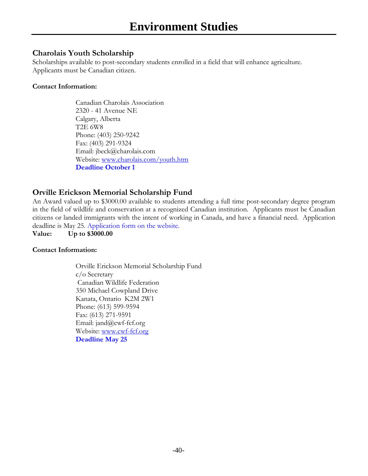#### **Charolais Youth Scholarship**

Scholarships available to post-secondary students enrolled in a field that will enhance agriculture. Applicants must be Canadian citizen.

#### **Contact Information:**

Canadian Charolais Association 2320 - 41 Avenue NE Calgary, Alberta T2E 6W8 Phone: (403) 250-9242 Fax: (403) 291-9324 Email: jbeck@charolais.com Website: www.charolais.com/youth.htm **Deadline October 1** 

### **Orville Erickson Memorial Scholarship Fund**

An Award valued up to \$3000.00 available to students attending a full time post-secondary degree program in the field of wildlife and conservation at a recognized Canadian institution. Applicants must be Canadian citizens or landed immigrants with the intent of working in Canada, and have a financial need. Application deadline is May 25. Application form on the website.

**Value: Up to \$3000.00** 

#### **Contact Information:**

Orville Erickson Memorial Scholarship Fund c/o Secretary Canadian Wildlife Federation 350 Michael Cowpland Drive Kanata, Ontario K2M 2W1 Phone: (613) 599-9594 Fax: (613) 271-9591 Email: jand@cwf-fcf.org Website: www.cwf-fcf.org **Deadline May 25**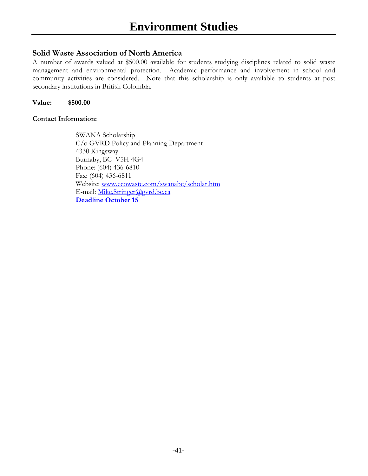#### **Solid Waste Association of North America**

A number of awards valued at \$500.00 available for students studying disciplines related to solid waste management and environmental protection. Academic performance and involvement in school and community activities are considered. Note that this scholarship is only available to students at post secondary institutions in British Colombia.

**Value: \$500.00** 

#### **Contact Information:**

SWANA Scholarship C/o GVRD Policy and Planning Department 4330 Kingsway Burnaby, BC V5H 4G4 Phone: (604) 436-6810 Fax: (604) 436-6811 Website: www.ecowaste.com/swanabc/scholar.htm E-mail: Mike.Stringer@gvrd.bc.ca **Deadline October 15**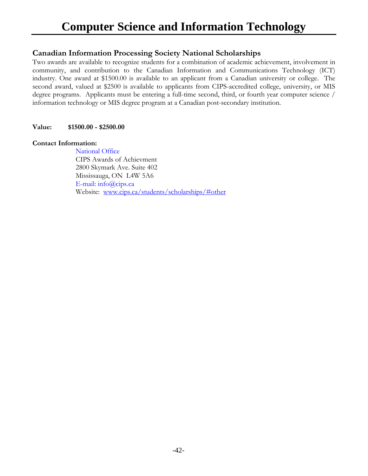## **Computer Science and Information Technology**

#### **Canadian Information Processing Society National Scholarships**

Two awards are available to recognize students for a combination of academic achievement, involvement in community, and contribution to the Canadian Information and Communications Technology (ICT) industry. One award at \$1500.00 is available to an applicant from a Canadian university or college. The second award, valued at \$2500 is available to applicants from CIPS-accredited college, university, or MIS degree programs. Applicants must be entering a full-time second, third, or fourth year computer science / information technology or MIS degree program at a Canadian post-secondary institution.

#### **Value: \$1500.00 - \$2500.00**

#### **Contact Information:**

 National Office CIPS Awards of Achievment 2800 Skymark Ave. Suite 402 Mississauga, ON L4W 5A6 E-mail: info@cips.ca Website: www.cips.ca/students/scholarships/#other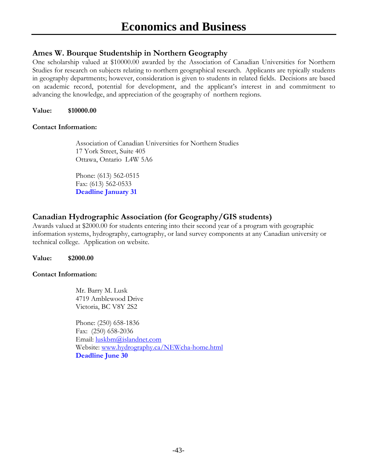#### **Ames W. Bourque Studentship in Northern Geography**

One scholarship valued at \$10000.00 awarded by the Association of Canadian Universities for Northern Studies for research on subjects relating to northern geographical research. Applicants are typically students in geography departments; however, consideration is given to students in related fields. Decisions are based on academic record, potential for development, and the applicant's interest in and commitment to advancing the knowledge, and appreciation of the geography of northern regions.

**Value: \$10000.00** 

#### **Contact Information:**

Association of Canadian Universities for Northern Studies 17 York Street, Suite 405 Ottawa, Ontario L4W 5A6

Phone: (613) 562-0515 Fax: (613) 562-0533 **Deadline January 31** 

### **Canadian Hydrographic Association (for Geography/GIS students)**

Awards valued at \$2000.00 for students entering into their second year of a program with geographic information systems, hydrography, cartography, or land survey components at any Canadian university or technical college. Application on website.

#### **Value: \$2000.00**

#### **Contact Information:**

Mr. Barry M. Lusk 4719 Amblewood Drive Victoria, BC V8Y 2S2

Phone: (250) 658-1836 Fax: (250) 658-2036 Email: luskbm@islandnet.com Website: www.hydrography.ca/NEWcha-home.html **Deadline June 30**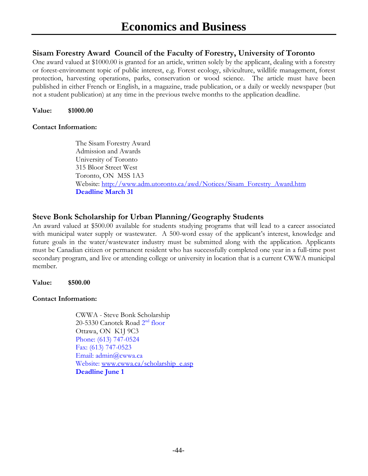#### **Sisam Forestry Award Council of the Faculty of Forestry, University of Toronto**

One award valued at \$1000.00 is granted for an article, written solely by the applicant, dealing with a forestry or forest-environment topic of public interest, e.g. Forest ecology, silviculture, wildlife management, forest protection, harvesting operations, parks, conservation or wood science. The article must have been published in either French or English, in a magazine, trade publication, or a daily or weekly newspaper (but not a student publication) at any time in the previous twelve months to the application deadline.

**Value: \$1000.00** 

#### **Contact Information:**

The Sisam Forestry Award Admission and Awards University of Toronto 315 Bloor Street West Toronto, ON M5S 1A3 Website: http://www.adm.utoronto.ca/awd/Notices/Sisam\_Forestry\_Award.htm **Deadline March 31** 

#### **Steve Bonk Scholarship for Urban Planning/Geography Students**

An award valued at \$500.00 available for students studying programs that will lead to a career associated with municipal water supply or wastewater. A 500-word essay of the applicant's interest, knowledge and future goals in the water/wastewater industry must be submitted along with the application. Applicants must be Canadian citizen or permanent resident who has successfully completed one year in a full-time post secondary program, and live or attending college or university in location that is a current CWWA municipal member.

#### **Value: \$500.00**

#### **Contact Information:**

CWWA - Steve Bonk Scholarship 20-5330 Canotek Road 2<sup>nd</sup> floor Ottawa, ON K1J 9C3 Phone: (613) 747-0524 Fax: (613) 747-0523 Email: admin@cwwa.ca Website: www.cwwa.ca/scholarship\_e.asp **Deadline June 1**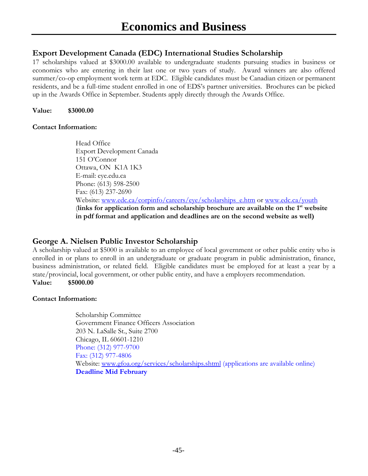#### **Export Development Canada (EDC) International Studies Scholarship**

17 scholarships valued at \$3000.00 available to undergraduate students pursuing studies in business or economics who are entering in their last one or two years of study. Award winners are also offered summer/co-op employment work term at EDC. Eligible candidates must be Canadian citizen or permanent residents, and be a full-time student enrolled in one of EDS's partner universities. Brochures can be picked up in the Awards Office in September. Students apply directly through the Awards Office.

**Value: \$3000.00** 

#### **Contact Information:**

Head Office Export Development Canada 151 O'Connor Ottawa, ON K1A 1K3 E-mail: eye.edu.ca Phone: (613) 598-2500 Fax: (613) 237-2690 Website: www.edc.ca/corpinfo/careers/eye/scholarships\_e.htm or www.edc.ca/youth (**links for application form and scholarship brochure are available on the 1st website in pdf format and application and deadlines are on the second website as well)** 

#### **George A. Nielsen Public Investor Scholarship**

A scholarship valued at \$5000 is available to an employee of local government or other public entity who is enrolled in or plans to enroll in an undergraduate or graduate program in public administration, finance, business administration, or related field. Eligible candidates must be employed for at least a year by a state/provincial, local government, or other public entity, and have a employers recommendation. **Value: \$5000.00** 

#### **Contact Information:**

Scholarship Committee Government Finance Officers Association 203 N. LaSalle St., Suite 2700 Chicago, IL 60601-1210 Phone: (312) 977-9700 Fax: (312) 977-4806 Website: www.gfoa.org/services/scholarships.shtml (applications are available online) **Deadline Mid February**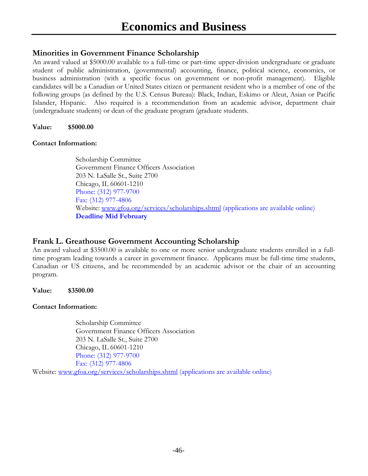#### **Minorities in Government Finance Scholarship**

An award valued at \$5000.00 available to a full-time or part-time upper-division undergraduate or graduate student of public administration, (governmental) accounting, finance, political science, economics, or business administration (with a specific focus on government or non-profit management). Eligible candidates will be a Canadian or United States citizen or permanent resident who is a member of one of the following groups (as defined by the U.S. Census Bureau): Black, Indian, Eskimo or Aleut, Asian or Pacific Islander, Hispanic. Also required is a recommendation from an academic advisor, department chair (undergraduate students) or dean of the graduate program (graduate students.

#### **Value: \$5000.00**

#### **Contact Information:**

Scholarship Committee Government Finance Officers Association 203 N. LaSalle St., Suite 2700 Chicago, IL 60601-1210 Phone: (312) 977-9700 Fax: (312) 977-4806 Website: www.gfoa.org/services/scholarships.shtml (applications are available online) **Deadline Mid February** 

#### **Frank L. Greathouse Government Accounting Scholarship**

An award valued at \$3500.00 is available to one or more senior undergraduate students enrolled in a fulltime program leading towards a career in government finance. Applicants must be full-time time students, Canadian or US citizens, and be recommended by an academic advisor or the chair of an accounting program.

#### **Value: \$3500.00**

#### **Contact Information:**

Scholarship Committee Government Finance Officers Association 203 N. LaSalle St., Suite 2700 Chicago, IL 60601-1210 Phone: (312) 977-9700 Fax: (312) 977-4806 Website: www.gfoa.org/services/scholarships.shtml (applications are available online)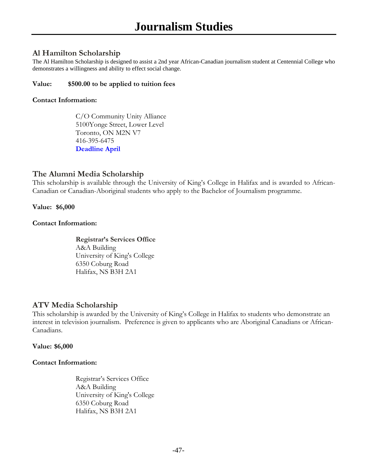#### **Al Hamilton Scholarship**

The Al Hamilton Scholarship is designed to assist a 2nd year African-Canadian journalism student at Centennial College who demonstrates a willingness and ability to effect social change.

#### **Value: \$500.00 to be applied to tuition fees**

#### **Contact Information:**

C/O Community Unity Alliance 5100Yonge Street, Lower Level Toronto, ON M2N V7 416-395-6475 **Deadline April** 

#### **The Alumni Media Scholarship**

This scholarship is available through the University of King's College in Halifax and is awarded to African-Canadian or Canadian-Aboriginal students who apply to the Bachelor of Journalism programme.

#### **Value: \$6,000**

#### **Contact Information:**

**Registrar's Services Office**  A&A Building University of King's College 6350 Coburg Road Halifax, NS B3H 2A1

#### **ATV Media Scholarship**

This scholarship is awarded by the University of King's College in Halifax to students who demonstrate an interest in television journalism. Preference is given to applicants who are Aboriginal Canadians or African-Canadians.

#### **Value: \$6,000**

#### **Contact Information:**

Registrar's Services Office A&A Building University of King's College 6350 Coburg Road Halifax, NS B3H 2A1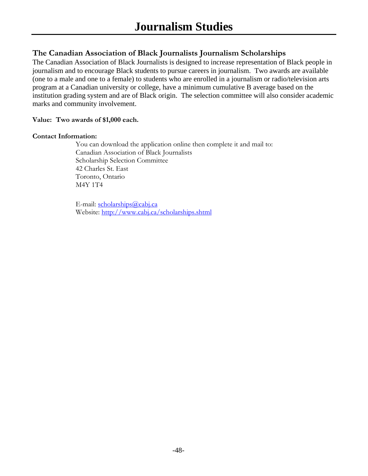#### **The Canadian Association of Black Journalists Journalism Scholarships**

The Canadian Association of Black Journalists is designed to increase representation of Black people in journalism and to encourage Black students to pursue careers in journalism. Two awards are available (one to a male and one to a female) to students who are enrolled in a journalism or radio/television arts program at a Canadian university or college, have a minimum cumulative B average based on the institution grading system and are of Black origin. The selection committee will also consider academic marks and community involvement.

#### **Value: Two awards of \$1,000 each.**

#### **Contact Information:**

You can download the application online then complete it and mail to: Canadian Association of Black Journalists Scholarship Selection Committee 42 Charles St. East Toronto, Ontario M4Y 1T4

E-mail: scholarships@cabj.ca Website: http://www.cabj.ca/scholarships.shtml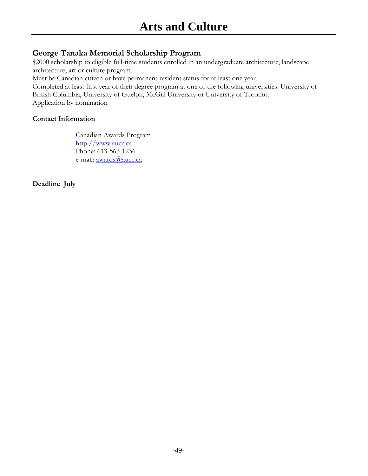#### **George Tanaka Memorial Scholarship Program**

\$2000 scholarship to eligible full-time students enrolled in an undergraduate architecture, landscape architecture, art or culture program.

Must be Canadian citizen or have permanent resident status for at least one year.

Completed at least first year of their degree program at one of the following universities: University of British Columbia, University of Guelph, McGill University or University of Toronto. Application by nomination

#### **Contact Information**

Canadian Awards Program http://www.aucc.ca Phone: 613-563-1236 e-mail: **awards@aucc.ca** 

**Deadline July**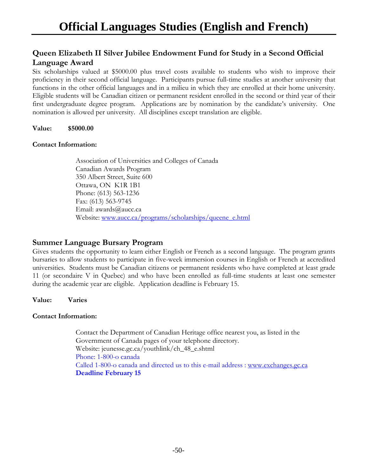### **Queen Elizabeth II Silver Jubilee Endowment Fund for Study in a Second Official Language Award**

Six scholarships valued at \$5000.00 plus travel costs available to students who wish to improve their proficiency in their second official language. Participants pursue full-time studies at another university that functions in the other official languages and in a milieu in which they are enrolled at their home university. Eligible students will be Canadian citizen or permanent resident enrolled in the second or third year of their first undergraduate degree program. Applications are by nomination by the candidate's university. One nomination is allowed per university. All disciplines except translation are eligible.

#### **Value: \$5000.00**

#### **Contact Information:**

Association of Universities and Colleges of Canada Canadian Awards Program 350 Albert Street, Suite 600 Ottawa, ON K1R 1B1 Phone: (613) 563-1236 Fax: (613) 563-9745 Email: awards@aucc.ca Website: www.aucc.ca/programs/scholarships/queene\_e.html

#### **Summer Language Bursary Program**

Gives students the opportunity to learn either English or French as a second language. The program grants bursaries to allow students to participate in five-week immersion courses in English or French at accredited universities. Students must be Canadian citizens or permanent residents who have completed at least grade 11 (or secondaire V in Quebec) and who have been enrolled as full-time students at least one semester during the academic year are eligible. Application deadline is February 15.

**Value: Varies** 

#### **Contact Information:**

Contact the Department of Canadian Heritage office nearest you, as listed in the Government of Canada pages of your telephone directory. Website: jeunesse.gc.ca/youthlink/ch\_48\_e.shtml Phone: 1-800-o canada Called 1-800-o canada and directed us to this e-mail address : www.exchanges.gc.ca **Deadline February 15**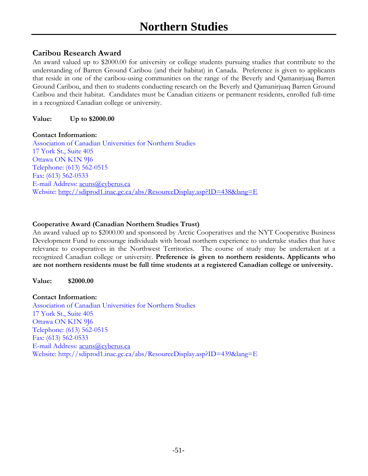#### **Caribou Research Award**

An award valued up to \$2000.00 for university or college students pursuing studies that contribute to the understanding of Barren Ground Caribou (and their habitat) in Canada. Preference is given to applicants that reside in one of the caribou-using communities on the range of the Beverly and Qamanirjuaq Barren Ground Caribou, and then to students conducting research on the Beverly and Qamanirjuaq Barren Ground Caribou and their habitat. Candidates must be Canadian citizens or permanent residents, enrolled full-time in a recognized Canadian college or university.

#### **Value: Up to \$2000.00**

#### **Contact Information:**

Association of Canadian Universities for Northern Studies 17 York St., Suite 405 Ottawa ON K1N 9J6 Telephone: (613) 562-0515 Fax: (613) 562-0533 E-mail Address: acuns@cyberus.ca Website: http://sdiprod1.inac.gc.ca/abs/ResourceDisplay.asp?ID=438&lang=E

#### **Cooperative Award (Canadian Northern Studies Trust)**

An award valued up to \$2000.00 and sponsored by Arctic Cooperatives and the NYT Cooperative Business Development Fund to encourage individuals with broad northern experience to undertake studies that have relevance to cooperatives in the Northwest Territories. The course of study may be undertaken at a recognized Canadian college or university. **Preference is given to northern residents. Applicants who are not northern residents must be full time students at a registered Canadian college or university.**

#### **Value: \$2000.00**

#### **Contact Information:**

Association of Canadian Universities for Northern Studies 17 York St., Suite 405 Ottawa ON K1N 9J6 Telephone: (613) 562-0515 Fax: (613) 562-0533 E-mail Address: acuns@cyberus.ca Website: http://sdiprod1.inac.gc.ca/abs/ResourceDisplay.asp?ID=439&lang=E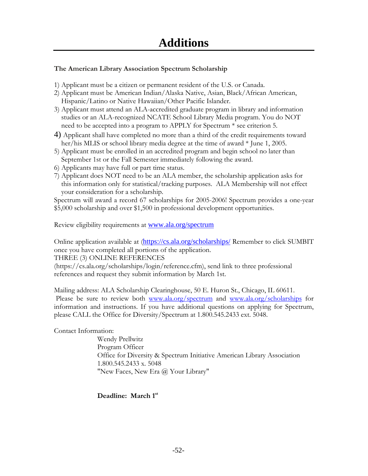#### **The American Library Association Spectrum Scholarship**

- 1) Applicant must be a citizen or permanent resident of the U.S. or Canada.
- 2) Applicant must be American Indian/Alaska Native, Asian, Black/African American, Hispanic/Latino or Native Hawaiian/Other Pacific Islander.
- 3) Applicant must attend an ALA-accredited graduate program in library and information studies or an ALA-recognized NCATE School Library Media program. You do NOT need to be accepted into a program to APPLY for Spectrum \* see criterion 5.
- 4) Applicant shall have completed no more than a third of the credit requirements toward her/his MLIS or school library media degree at the time of award  $*$  June 1, 2005.
- 5) Applicant must be enrolled in an accredited program and begin school no later than September 1st or the Fall Semester immediately following the award.
- 6) Applicants may have full or part time status.
- 7) Applicant does NOT need to be an ALA member, the scholarship application asks for this information only for statistical/tracking purposes. ALA Membership will not effect your consideration for a scholarship.

Spectrum will award a record 67 scholarships for 2005-2006! Spectrum provides a one-year \$5,000 scholarship and over \$1,500 in professional development opportunities.

Review eligibility requirements at www.ala.org/spectrum

Online application available at (https://cs.ala.org/scholarships/ Remember to click SUMBIT once you have completed all portions of the application.

THREE (3) ONLINE REFERENCES

(https://cs.ala.org/scholarships/login/reference.cfm), send link to three professional references and request they submit information by March 1st.

Mailing address: ALA Scholarship Clearinghouse, 50 E. Huron St., Chicago, IL 60611. Please be sure to review both www.ala.org/spectrum and www.ala.org/scholarships for information and instructions. If you have additional questions on applying for Spectrum, please CALL the Office for Diversity/Spectrum at 1.800.545.2433 ext. 5048.

Contact Information:

Wendy Prellwitz Program Officer Office for Diversity & Spectrum Initiative American Library Association 1.800.545.2433 x. 5048 "New Faces, New Era @ Your Library"

**Deadline: March 1st**